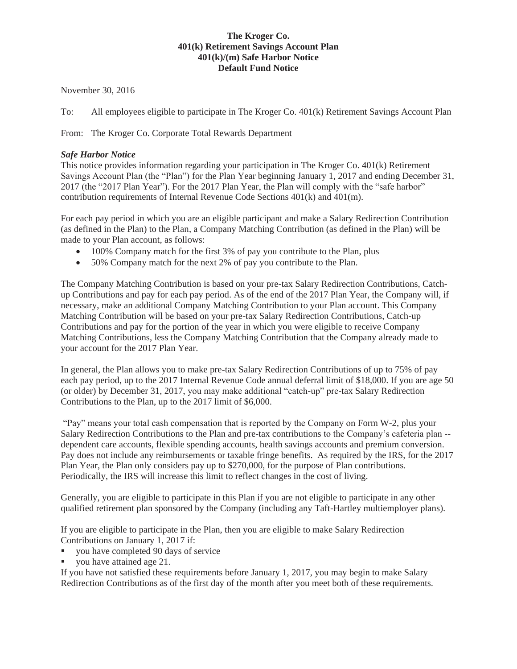## **The Kroger Co. 401(k) Retirement Savings Account Plan 401(k)/(m) Safe Harbor Notice Default Fund Notice**

November 30, 2016

To: All employees eligible to participate in The Kroger Co. 401(k) Retirement Savings Account Plan

From: The Kroger Co. Corporate Total Rewards Department

## *Safe Harbor Notice*

This notice provides information regarding your participation in The Kroger Co. 401(k) Retirement Savings Account Plan (the "Plan") for the Plan Year beginning January 1, 2017 and ending December 31, 2017 (the "2017 Plan Year"). For the 2017 Plan Year, the Plan will comply with the "safe harbor" contribution requirements of Internal Revenue Code Sections 401(k) and 401(m).

For each pay period in which you are an eligible participant and make a Salary Redirection Contribution (as defined in the Plan) to the Plan, a Company Matching Contribution (as defined in the Plan) will be made to your Plan account, as follows:

- $\bullet$  100% Company match for the first 3% of pay you contribute to the Plan, plus
- $\bullet$  50% Company match for the next 2% of pay you contribute to the Plan.

The Company Matching Contribution is based on your pre-tax Salary Redirection Contributions, Catchup Contributions and pay for each pay period. As of the end of the 2017 Plan Year, the Company will, if necessary, make an additional Company Matching Contribution to your Plan account. This Company Matching Contribution will be based on your pre-tax Salary Redirection Contributions, Catch-up Contributions and pay for the portion of the year in which you were eligible to receive Company Matching Contributions, less the Company Matching Contribution that the Company already made to your account for the 2017 Plan Year.

In general, the Plan allows you to make pre-tax Salary Redirection Contributions of up to 75% of pay each pay period, up to the 2017 Internal Revenue Code annual deferral limit of \$18,000. If you are age 50 (or older) by December 31, 2017, you may make additional "catch-up" pre-tax Salary Redirection Contributions to the Plan, up to the 2017 limit of \$6,000.

"Pay" means your total cash compensation that is reported by the Company on Form W-2, plus your Salary Redirection Contributions to the Plan and pre-tax contributions to the Company's cafeteria plan - dependent care accounts, flexible spending accounts, health savings accounts and premium conversion. Pay does not include any reimbursements or taxable fringe benefits. As required by the IRS, for the 2017 Plan Year, the Plan only considers pay up to \$270,000, for the purpose of Plan contributions. Periodically, the IRS will increase this limit to reflect changes in the cost of living.

Generally, you are eligible to participate in this Plan if you are not eligible to participate in any other qualified retirement plan sponsored by the Company (including any Taft-Hartley multiemployer plans).

If you are eligible to participate in the Plan, then you are eligible to make Salary Redirection Contributions on January 1, 2017 if:

- you have completed 90 days of service
- you have attained age 21.

If you have not satisfied these requirements before January 1, 2017, you may begin to make Salary Redirection Contributions as of the first day of the month after you meet both of these requirements.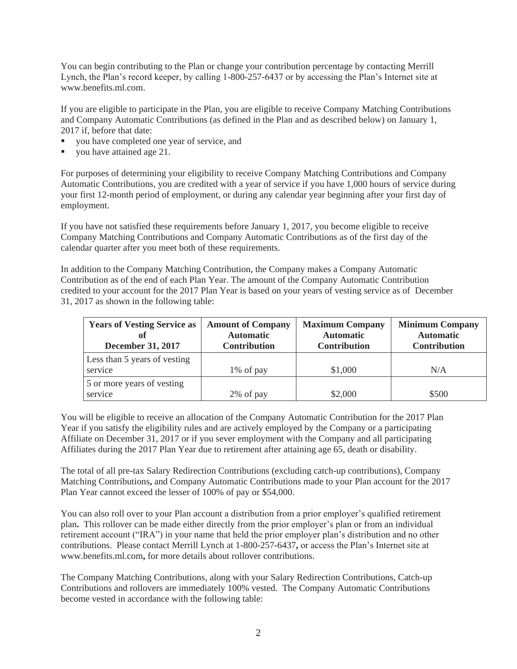You can begin contributing to the Plan or change your contribution percentage by contacting Merrill Lynch, the Plan's record keeper, by calling 1-800-257-6437 or by accessing the Plan's Internet site at www.benefits.ml.com.

If you are eligible to participate in the Plan, you are eligible to receive Company Matching Contributions and Company Automatic Contributions (as defined in the Plan and as described below) on January 1, 2017 if, before that date:

- you have completed one year of service, and
- you have attained age 21.

For purposes of determining your eligibility to receive Company Matching Contributions and Company Automatic Contributions, you are credited with a year of service if you have 1,000 hours of service during your first 12-month period of employment, or during any calendar year beginning after your first day of employment.

If you have not satisfied these requirements before January 1, 2017, you become eligible to receive Company Matching Contributions and Company Automatic Contributions as of the first day of the calendar quarter after you meet both of these requirements.

In addition to the Company Matching Contribution, the Company makes a Company Automatic Contribution as of the end of each Plan Year. The amount of the Company Automatic Contribution credited to your account for the 2017 Plan Year is based on your years of vesting service as of December 31, 2017 as shown in the following table:

| <b>Years of Vesting Service as</b><br><b>December 31, 2017</b> | <b>Amount of Company</b><br><b>Automatic</b><br><b>Contribution</b> | <b>Maximum Company</b><br><b>Automatic</b><br><b>Contribution</b> | <b>Minimum Company</b><br><b>Automatic</b><br><b>Contribution</b> |
|----------------------------------------------------------------|---------------------------------------------------------------------|-------------------------------------------------------------------|-------------------------------------------------------------------|
| Less than 5 years of vesting<br>service                        | 1% of pay                                                           | \$1,000                                                           | N/A                                                               |
| 5 or more years of vesting<br>service                          | 2% of pay                                                           | \$2,000                                                           | \$500                                                             |

You will be eligible to receive an allocation of the Company Automatic Contribution for the 2017 Plan Year if you satisfy the eligibility rules and are actively employed by the Company or a participating Affiliate on December 31, 2017 or if you sever employment with the Company and all participating Affiliates during the 2017 Plan Year due to retirement after attaining age 65, death or disability.

The total of all pre-tax Salary Redirection Contributions (excluding catch-up contributions), Company Matching Contributions**,** and Company Automatic Contributions made to your Plan account for the 2017 Plan Year cannot exceed the lesser of 100% of pay or \$54,000.

You can also roll over to your Plan account a distribution from a prior employer's qualified retirement plan**.** This rollover can be made either directly from the prior employer's plan or from an individual retirement account ("IRA") in your name that held the prior employer plan's distribution and no other contributions. Please contact Merrill Lynch at 1-800-257-6437**,** or access the Plan's Internet site at www.benefits.ml.com**,** for more details about rollover contributions.

The Company Matching Contributions, along with your Salary Redirection Contributions, Catch-up Contributions and rollovers are immediately 100% vested. The Company Automatic Contributions become vested in accordance with the following table: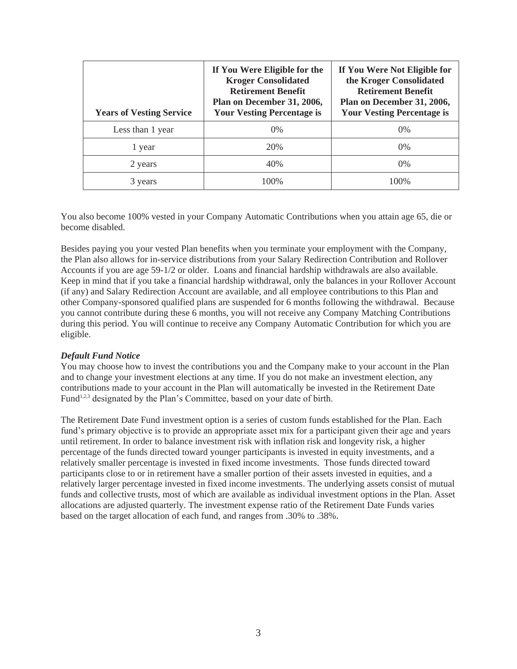| <b>Years of Vesting Service</b> | If You Were Eligible for the<br><b>Kroger Consolidated</b><br><b>Retirement Benefit</b><br>Plan on December 31, 2006,<br><b>Your Vesting Percentage is</b> | If You Were Not Eligible for<br>the Kroger Consolidated<br><b>Retirement Benefit</b><br>Plan on December 31, 2006,<br><b>Your Vesting Percentage is</b> |
|---------------------------------|------------------------------------------------------------------------------------------------------------------------------------------------------------|---------------------------------------------------------------------------------------------------------------------------------------------------------|
| Less than 1 year                | $0\%$                                                                                                                                                      | $0\%$                                                                                                                                                   |
| 1 year                          | 20%                                                                                                                                                        | $0\%$                                                                                                                                                   |
| 2 years                         | 40%                                                                                                                                                        | $0\%$                                                                                                                                                   |
| 3 years                         | 100\%                                                                                                                                                      | 100\%                                                                                                                                                   |

You also become 100% vested in your Company Automatic Contributions when you attain age 65, die or become disabled.

Besides paying you your vested Plan benefits when you terminate your employment with the Company, the Plan also allows for in-service distributions from your Salary Redirection Contribution and Rollover Accounts if you are age 59-1/2 or older. Loans and financial hardship withdrawals are also available. Keep in mind that if you take a financial hardship withdrawal, only the balances in your Rollover Account (if any) and Salary Redirection Account are available, and all employee contributions to this Plan and other Company-sponsored qualified plans are suspended for 6 months following the withdrawal. Because you cannot contribute during these 6 months, you will not receive any Company Matching Contributions during this period. You will continue to receive any Company Automatic Contribution for which you are eligible.

## *Default Fund Notice*

You may choose how to invest the contributions you and the Company make to your account in the Plan and to change your investment elections at any time. If you do not make an investment election, any contributions made to your account in the Plan will automatically be invested in the Retirement Date Fund<sup>1,2,3</sup> designated by the Plan's Committee, based on your date of birth.

The Retirement Date Fund investment option is a series of custom funds established for the Plan. Each fund's primary objective is to provide an appropriate asset mix for a participant given their age and years until retirement. In order to balance investment risk with inflation risk and longevity risk, a higher percentage of the funds directed toward younger participants is invested in equity investments, and a relatively smaller percentage is invested in fixed income investments. Those funds directed toward participants close to or in retirement have a smaller portion of their assets invested in equities, and a relatively larger percentage invested in fixed income investments. The underlying assets consist of mutual funds and collective trusts, most of which are available as individual investment options in the Plan. Asset allocations are adjusted quarterly. The investment expense ratio of the Retirement Date Funds varies based on the target allocation of each fund, and ranges from .30% to .38%.